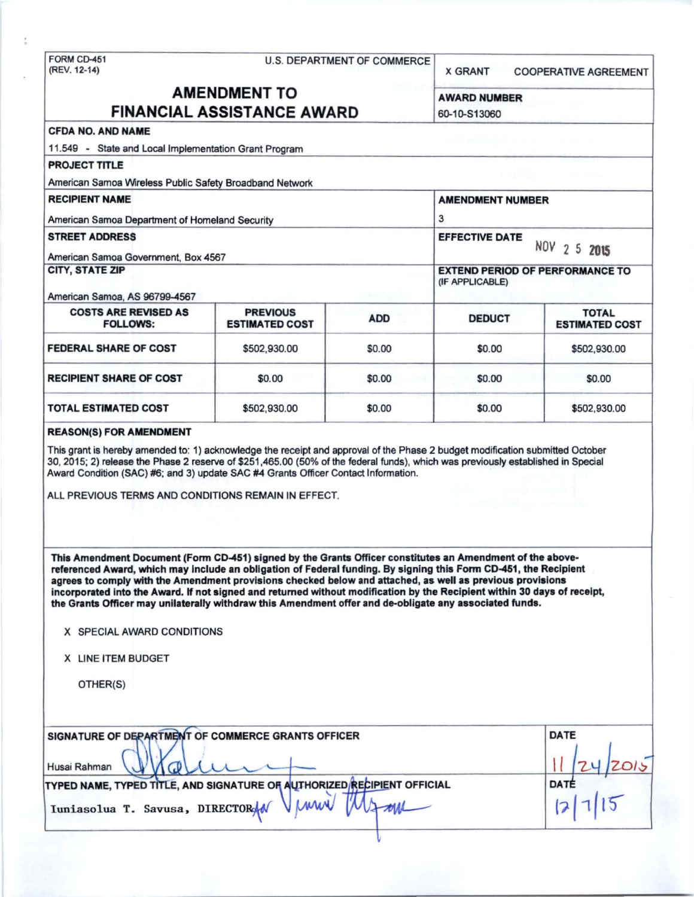FORM CD-451 U.S. DEPARTMENT OF COMMERCE<br>(REV. 12-14)

X GRANT COOPERATIVE AGREEMENT

NOV 2 5 2015

# AMENDMENT TO AWARD NUMBER FINANCIAL ASSISTANCE AWARD 60-10-S13060

(IF APPLICABLE)

## CFDA NO. AND NAME

11.549 - State and Local Implementation Grant Program

## PROJECT TITLE

American Samoa Wireless Public Safety Broadband Network

### RECIPIENT NAME AMENDMENT NUMBER

American Samoa Department of Homeland Security 3 STREET ADDRESS EFFECTIVE DATE American Samoa Government, Box 4567

### CITY, STATE ZIP EXTEND PERIOD OF PERFORMANCE TO

American Samoa, AS 96799-4567

| <b>COSTS ARE REVISED AS</b><br><b>FOLLOWS:</b> | <b>PREVIOUS</b><br><b>ESTIMATED COST</b> | <b>ADD</b> | <b>DEDUCT</b> | <b>TOTAL</b><br><b>ESTIMATED COST</b> |
|------------------------------------------------|------------------------------------------|------------|---------------|---------------------------------------|
| <b>FEDERAL SHARE OF COST</b>                   | \$502,930.00                             | \$0.00     | \$0.00        | \$502,930.00                          |
| <b>RECIPIENT SHARE OF COST</b>                 | \$0.00                                   | \$0.00     | \$0.00        | \$0.00                                |
| <b>TOTAL ESTIMATED COST</b>                    | \$502,930.00                             | \$0.00     | \$0.00        | \$502,930.00                          |

#### REASON(S) FOR AMENDMENT

This grant is hereby amended to: 1) acknowledge the receipt and approval of the Phase 2 budget modification submitted October 30, 2015; 2) release the Phase 2 reserve of \$251,465.00 (50% of the federal funds), which was previously established in Special Award Condition (SAC) #6; and 3) update SAC #4 Grants Officer Contact Information.

ALL PREVIOUS TERMS AND CONDITIONS REMAIN IN EFFECT.

This Amendment Document (Fonn CD-451) signed by the Grants Officer constitutes an Amendment of the above· referenced Award, which may include an obligation of Federal funding. By signing this Form CD-451, the Recipient agrees to comply with the Amendment provisions cheeked below and attached, as well as previous provisions incorporated Into the Award. If not signed and returned without modification by the Recipient within 30 days of receipt, the Grants Officer may unilaterally withdraw this Amendment offer and de-obligate any associated funds.

#### X SPECIAL AWARD CONDITIONS

X LINE ITEM BUDGET

OTHER(S)

| SIGNATURE OF DEPARTMENT OF COMMERCE GRANTS OFFICER                      | <b>DATE</b> |
|-------------------------------------------------------------------------|-------------|
| Husai Rahman                                                            |             |
| TYPED NAME, TYPED TITLE, AND SIGNATURE OF AUTHORIZED RECIPIENT OFFICIAL | DATÉ        |
| Vinne<br>Iuniasolua T. Savusa, DIRECTORAN                               |             |

\1